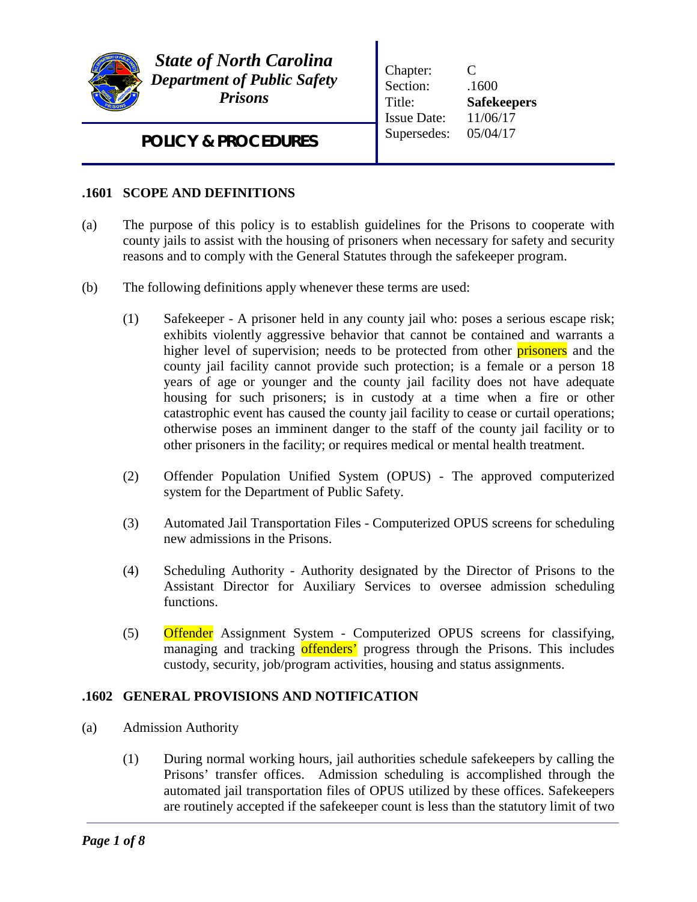

*State of North Carolina Department of Public Safety Prisons*

Chapter: C Section:  $.1600$ Title: **Safekeepers** Issue Date: 11/06/17 Supersedes: 05/04/17

*POLICY & PROCEDURES*

## **.1601 SCOPE AND DEFINITIONS**

- (a) The purpose of this policy is to establish guidelines for the Prisons to cooperate with county jails to assist with the housing of prisoners when necessary for safety and security reasons and to comply with the General Statutes through the safekeeper program.
- (b) The following definitions apply whenever these terms are used:
	- (1) Safekeeper A prisoner held in any county jail who: poses a serious escape risk; exhibits violently aggressive behavior that cannot be contained and warrants a higher level of supervision; needs to be protected from other **prisoners** and the county jail facility cannot provide such protection; is a female or a person 18 years of age or younger and the county jail facility does not have adequate housing for such prisoners; is in custody at a time when a fire or other catastrophic event has caused the county jail facility to cease or curtail operations; otherwise poses an imminent danger to the staff of the county jail facility or to other prisoners in the facility; or requires medical or mental health treatment.
	- (2) Offender Population Unified System (OPUS) The approved computerized system for the Department of Public Safety.
	- (3) Automated Jail Transportation Files Computerized OPUS screens for scheduling new admissions in the Prisons.
	- (4) Scheduling Authority Authority designated by the Director of Prisons to the Assistant Director for Auxiliary Services to oversee admission scheduling functions.
	- (5) Offender Assignment System Computerized OPUS screens for classifying, managing and tracking offenders' progress through the Prisons. This includes custody, security, job/program activities, housing and status assignments.

### **.1602 GENERAL PROVISIONS AND NOTIFICATION**

- (a) Admission Authority
	- (1) During normal working hours, jail authorities schedule safekeepers by calling the Prisons' transfer offices. Admission scheduling is accomplished through the automated jail transportation files of OPUS utilized by these offices. Safekeepers are routinely accepted if the safekeeper count is less than the statutory limit of two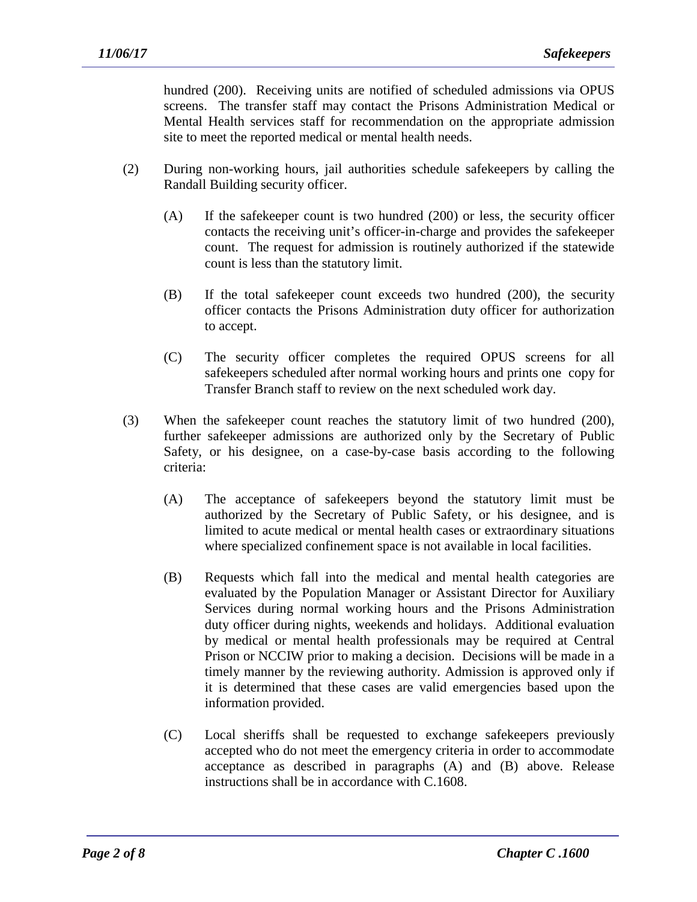hundred (200). Receiving units are notified of scheduled admissions via OPUS screens. The transfer staff may contact the Prisons Administration Medical or Mental Health services staff for recommendation on the appropriate admission site to meet the reported medical or mental health needs.

- (2) During non-working hours, jail authorities schedule safekeepers by calling the Randall Building security officer.
	- (A) If the safekeeper count is two hundred (200) or less, the security officer contacts the receiving unit's officer-in-charge and provides the safekeeper count. The request for admission is routinely authorized if the statewide count is less than the statutory limit.
	- (B) If the total safekeeper count exceeds two hundred (200), the security officer contacts the Prisons Administration duty officer for authorization to accept.
	- (C) The security officer completes the required OPUS screens for all safekeepers scheduled after normal working hours and prints one copy for Transfer Branch staff to review on the next scheduled work day.
- (3) When the safekeeper count reaches the statutory limit of two hundred (200), further safekeeper admissions are authorized only by the Secretary of Public Safety, or his designee, on a case-by-case basis according to the following criteria:
	- (A) The acceptance of safekeepers beyond the statutory limit must be authorized by the Secretary of Public Safety, or his designee, and is limited to acute medical or mental health cases or extraordinary situations where specialized confinement space is not available in local facilities.
	- (B) Requests which fall into the medical and mental health categories are evaluated by the Population Manager or Assistant Director for Auxiliary Services during normal working hours and the Prisons Administration duty officer during nights, weekends and holidays. Additional evaluation by medical or mental health professionals may be required at Central Prison or NCCIW prior to making a decision. Decisions will be made in a timely manner by the reviewing authority. Admission is approved only if it is determined that these cases are valid emergencies based upon the information provided.
	- (C) Local sheriffs shall be requested to exchange safekeepers previously accepted who do not meet the emergency criteria in order to accommodate acceptance as described in paragraphs (A) and (B) above. Release instructions shall be in accordance with C.1608.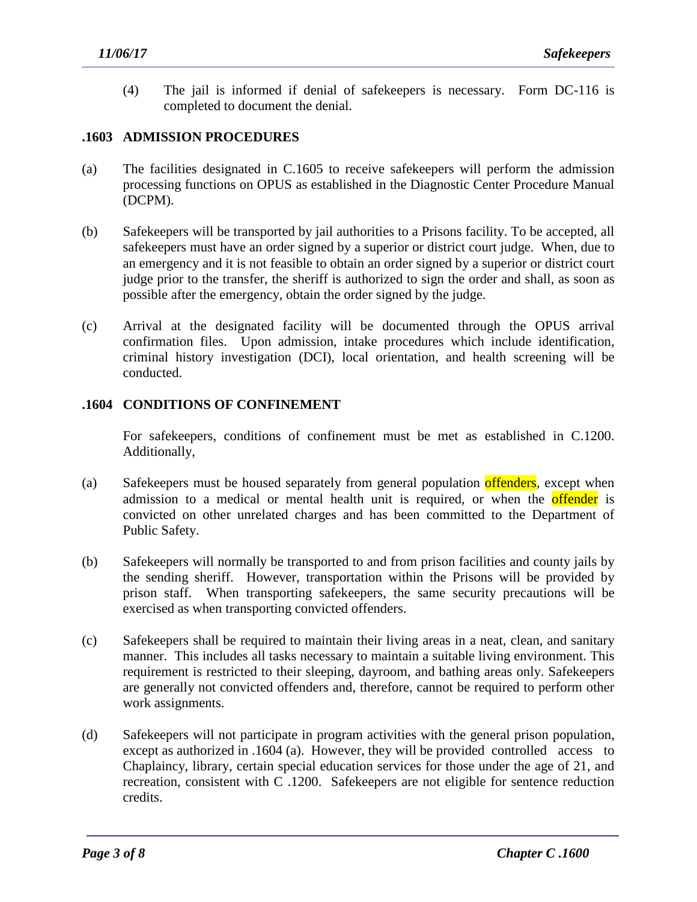(4) The jail is informed if denial of safekeepers is necessary. Form DC-116 is completed to document the denial.

#### **.1603 ADMISSION PROCEDURES**

- (a) The facilities designated in C.1605 to receive safekeepers will perform the admission processing functions on OPUS as established in the Diagnostic Center Procedure Manual (DCPM).
- (b) Safekeepers will be transported by jail authorities to a Prisons facility. To be accepted, all safekeepers must have an order signed by a superior or district court judge. When, due to an emergency and it is not feasible to obtain an order signed by a superior or district court judge prior to the transfer, the sheriff is authorized to sign the order and shall, as soon as possible after the emergency, obtain the order signed by the judge.
- (c) Arrival at the designated facility will be documented through the OPUS arrival confirmation files. Upon admission, intake procedures which include identification, criminal history investigation (DCI), local orientation, and health screening will be conducted.

### **.1604 CONDITIONS OF CONFINEMENT**

For safekeepers, conditions of confinement must be met as established in C.1200. Additionally,

- (a) Safekeepers must be housed separately from general population offenders, except when admission to a medical or mental health unit is required, or when the **offender** is convicted on other unrelated charges and has been committed to the Department of Public Safety.
- (b) Safekeepers will normally be transported to and from prison facilities and county jails by the sending sheriff. However, transportation within the Prisons will be provided by prison staff. When transporting safekeepers, the same security precautions will be exercised as when transporting convicted offenders.
- (c) Safekeepers shall be required to maintain their living areas in a neat, clean, and sanitary manner. This includes all tasks necessary to maintain a suitable living environment. This requirement is restricted to their sleeping, dayroom, and bathing areas only. Safekeepers are generally not convicted offenders and, therefore, cannot be required to perform other work assignments.
- (d) Safekeepers will not participate in program activities with the general prison population, except as authorized in .1604 (a). However, they will be provided controlled access to Chaplaincy, library, certain special education services for those under the age of 21, and recreation, consistent with C .1200. Safekeepers are not eligible for sentence reduction credits.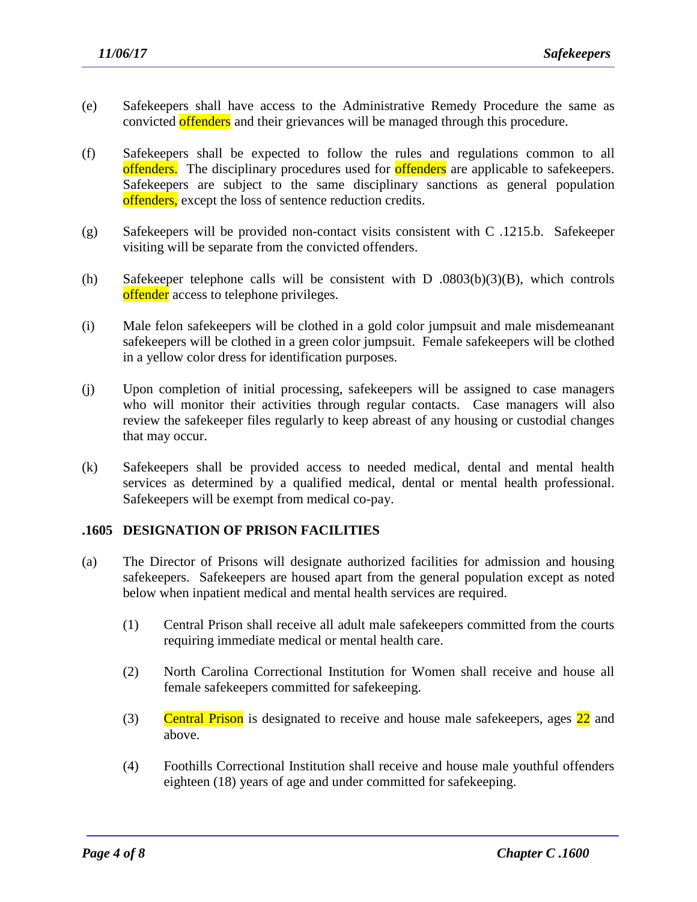- (e) Safekeepers shall have access to the Administrative Remedy Procedure the same as convicted offenders and their grievances will be managed through this procedure.
- (f) Safekeepers shall be expected to follow the rules and regulations common to all offenders. The disciplinary procedures used for offenders are applicable to safekeepers. Safekeepers are subject to the same disciplinary sanctions as general population offenders, except the loss of sentence reduction credits.
- (g) Safekeepers will be provided non-contact visits consistent with C .1215.b. Safekeeper visiting will be separate from the convicted offenders.
- (h) Safekeeper telephone calls will be consistent with D .0803(b)(3)(B), which controls offender access to telephone privileges.
- (i) Male felon safekeepers will be clothed in a gold color jumpsuit and male misdemeanant safekeepers will be clothed in a green color jumpsuit. Female safekeepers will be clothed in a yellow color dress for identification purposes.
- (j) Upon completion of initial processing, safekeepers will be assigned to case managers who will monitor their activities through regular contacts. Case managers will also review the safekeeper files regularly to keep abreast of any housing or custodial changes that may occur.
- (k) Safekeepers shall be provided access to needed medical, dental and mental health services as determined by a qualified medical, dental or mental health professional. Safekeepers will be exempt from medical co-pay.

#### **.1605 DESIGNATION OF PRISON FACILITIES**

- (a) The Director of Prisons will designate authorized facilities for admission and housing safekeepers. Safekeepers are housed apart from the general population except as noted below when inpatient medical and mental health services are required.
	- (1) Central Prison shall receive all adult male safekeepers committed from the courts requiring immediate medical or mental health care.
	- (2) North Carolina Correctional Institution for Women shall receive and house all female safekeepers committed for safekeeping.
	- (3) Central Prison is designated to receive and house male safekeepers, ages 22 and above.
	- (4) Foothills Correctional Institution shall receive and house male youthful offenders eighteen (18) years of age and under committed for safekeeping.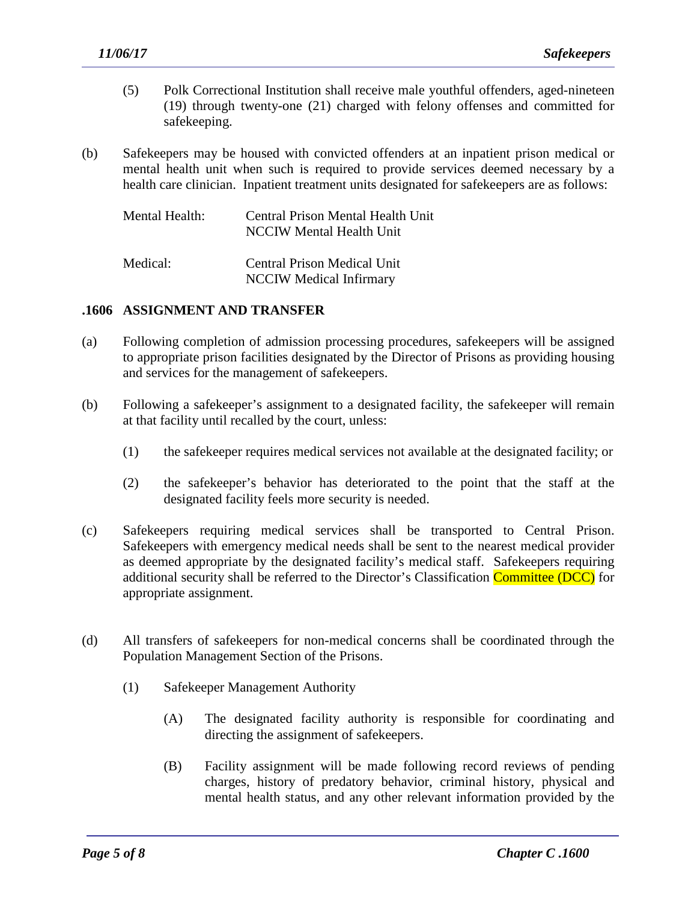- (5) Polk Correctional Institution shall receive male youthful offenders, aged-nineteen (19) through twenty-one (21) charged with felony offenses and committed for safekeeping.
- (b) Safekeepers may be housed with convicted offenders at an inpatient prison medical or mental health unit when such is required to provide services deemed necessary by a health care clinician. Inpatient treatment units designated for safekeepers are as follows:

| Mental Health: | Central Prison Mental Health Unit<br>NCCIW Mental Health Unit |
|----------------|---------------------------------------------------------------|
| Medical:       | Central Prison Medical Unit                                   |

NCCIW Medical Infirmary

### **.1606 ASSIGNMENT AND TRANSFER**

- (a) Following completion of admission processing procedures, safekeepers will be assigned to appropriate prison facilities designated by the Director of Prisons as providing housing and services for the management of safekeepers.
- (b) Following a safekeeper's assignment to a designated facility, the safekeeper will remain at that facility until recalled by the court, unless:
	- (1) the safekeeper requires medical services not available at the designated facility; or
	- (2) the safekeeper's behavior has deteriorated to the point that the staff at the designated facility feels more security is needed.
- (c) Safekeepers requiring medical services shall be transported to Central Prison. Safekeepers with emergency medical needs shall be sent to the nearest medical provider as deemed appropriate by the designated facility's medical staff. Safekeepers requiring additional security shall be referred to the Director's Classification Committee (DCC) for appropriate assignment.
- (d) All transfers of safekeepers for non-medical concerns shall be coordinated through the Population Management Section of the Prisons.

- (1) Safekeeper Management Authority
	- (A) The designated facility authority is responsible for coordinating and directing the assignment of safekeepers.
	- (B) Facility assignment will be made following record reviews of pending charges, history of predatory behavior, criminal history, physical and mental health status, and any other relevant information provided by the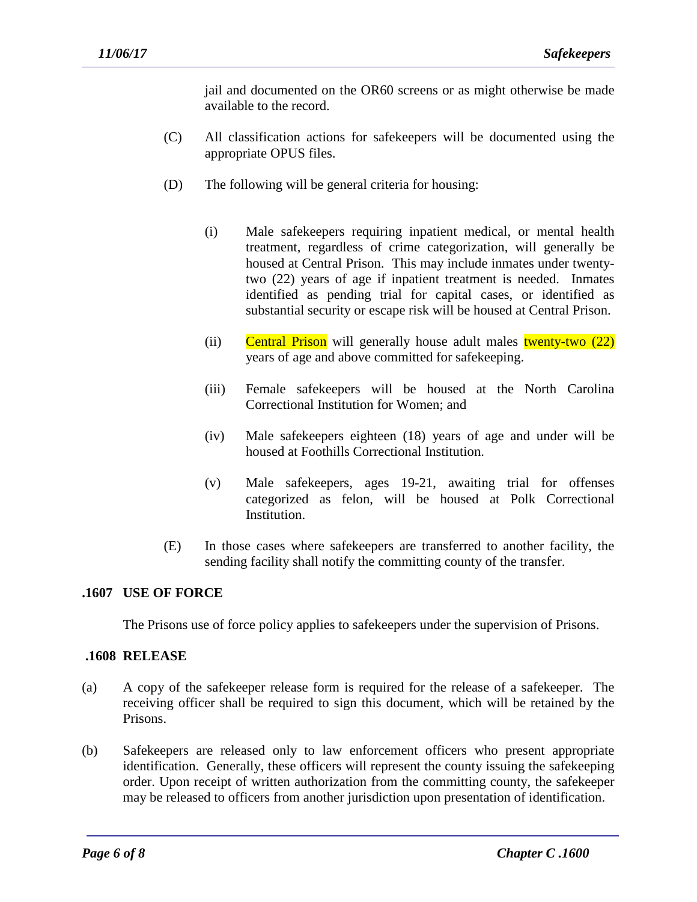jail and documented on the OR60 screens or as might otherwise be made available to the record.

- (C) All classification actions for safekeepers will be documented using the appropriate OPUS files.
- (D) The following will be general criteria for housing:
	- (i) Male safekeepers requiring inpatient medical, or mental health treatment, regardless of crime categorization, will generally be housed at Central Prison. This may include inmates under twentytwo (22) years of age if inpatient treatment is needed. Inmates identified as pending trial for capital cases, or identified as substantial security or escape risk will be housed at Central Prison.
	- (ii) Central Prison will generally house adult males twenty-two  $(22)$ years of age and above committed for safekeeping.
	- (iii) Female safekeepers will be housed at the North Carolina Correctional Institution for Women; and
	- (iv) Male safekeepers eighteen (18) years of age and under will be housed at Foothills Correctional Institution.
	- (v) Male safekeepers, ages 19-21, awaiting trial for offenses categorized as felon, will be housed at Polk Correctional Institution.
- (E) In those cases where safekeepers are transferred to another facility, the sending facility shall notify the committing county of the transfer.

### **.1607 USE OF FORCE**

The Prisons use of force policy applies to safekeepers under the supervision of Prisons.

#### **.1608 RELEASE**

- (a) A copy of the safekeeper release form is required for the release of a safekeeper. The receiving officer shall be required to sign this document, which will be retained by the Prisons.
- (b) Safekeepers are released only to law enforcement officers who present appropriate identification. Generally, these officers will represent the county issuing the safekeeping order. Upon receipt of written authorization from the committing county, the safekeeper may be released to officers from another jurisdiction upon presentation of identification.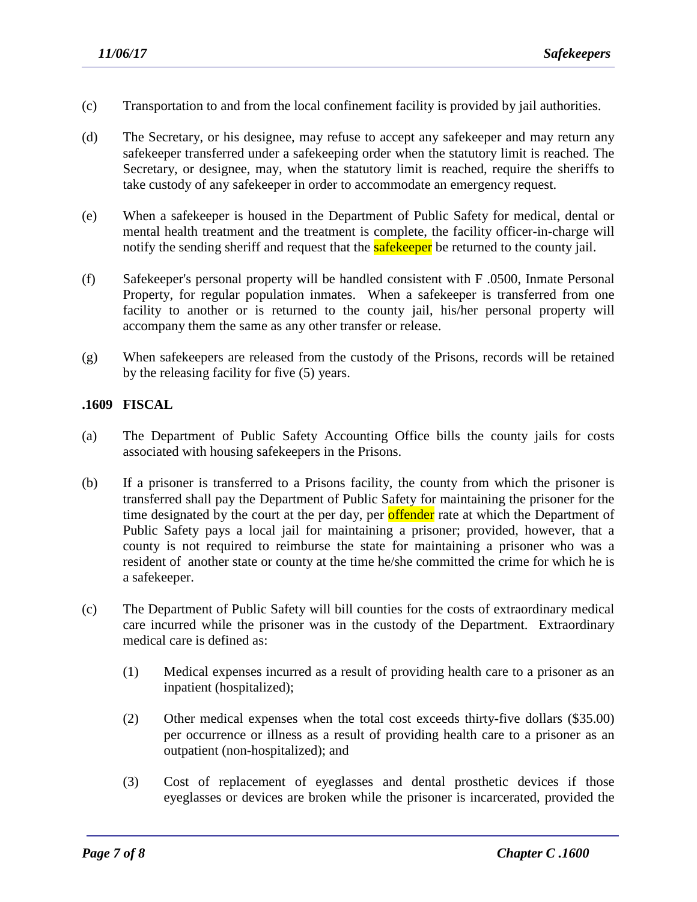- (c) Transportation to and from the local confinement facility is provided by jail authorities.
- (d) The Secretary, or his designee, may refuse to accept any safekeeper and may return any safekeeper transferred under a safekeeping order when the statutory limit is reached. The Secretary, or designee, may, when the statutory limit is reached, require the sheriffs to take custody of any safekeeper in order to accommodate an emergency request.
- (e) When a safekeeper is housed in the Department of Public Safety for medical, dental or mental health treatment and the treatment is complete, the facility officer-in-charge will notify the sending sheriff and request that the **safekeeper** be returned to the county jail.
- (f) Safekeeper's personal property will be handled consistent with F .0500, Inmate Personal Property, for regular population inmates. When a safekeeper is transferred from one facility to another or is returned to the county jail, his/her personal property will accompany them the same as any other transfer or release.
- (g) When safekeepers are released from the custody of the Prisons, records will be retained by the releasing facility for five (5) years.

# **.1609 FISCAL**

- (a) The Department of Public Safety Accounting Office bills the county jails for costs associated with housing safekeepers in the Prisons.
- (b) If a prisoner is transferred to a Prisons facility, the county from which the prisoner is transferred shall pay the Department of Public Safety for maintaining the prisoner for the time designated by the court at the per day, per **offender** rate at which the Department of Public Safety pays a local jail for maintaining a prisoner; provided, however, that a county is not required to reimburse the state for maintaining a prisoner who was a resident of another state or county at the time he/she committed the crime for which he is a safekeeper.
- (c) The Department of Public Safety will bill counties for the costs of extraordinary medical care incurred while the prisoner was in the custody of the Department. Extraordinary medical care is defined as:
	- (1) Medical expenses incurred as a result of providing health care to a prisoner as an inpatient (hospitalized);
	- (2) Other medical expenses when the total cost exceeds thirty-five dollars (\$35.00) per occurrence or illness as a result of providing health care to a prisoner as an outpatient (non-hospitalized); and
	- (3) Cost of replacement of eyeglasses and dental prosthetic devices if those eyeglasses or devices are broken while the prisoner is incarcerated, provided the